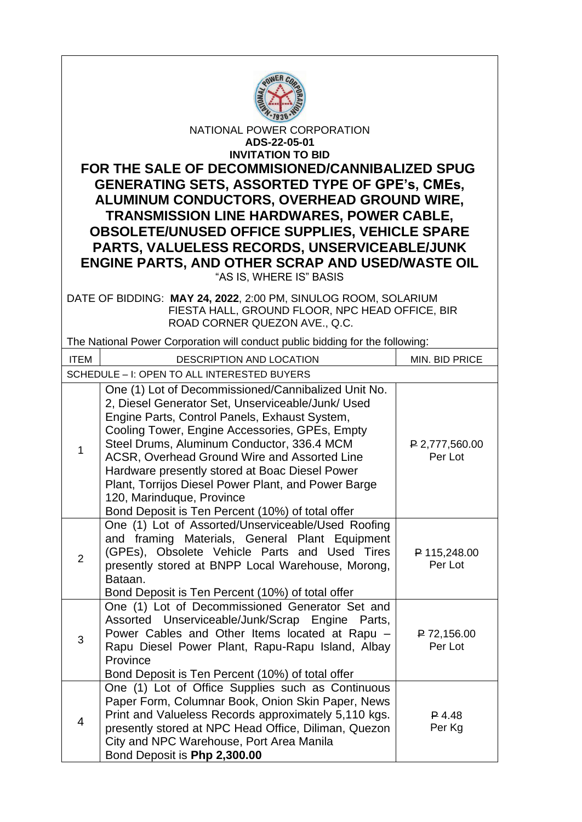

NATIONAL POWER CORPORATION **ADS-22-05-01 INVITATION TO BID** 

**FOR THE SALE OF DECOMMISIONED/CANNIBALIZED SPUG GENERATING SETS, ASSORTED TYPE OF GPE's, CMEs, ALUMINUM CONDUCTORS, OVERHEAD GROUND WIRE, TRANSMISSION LINE HARDWARES, POWER CABLE, OBSOLETE/UNUSED OFFICE SUPPLIES, VEHICLE SPARE PARTS, VALUELESS RECORDS, UNSERVICEABLE/JUNK ENGINE PARTS, AND OTHER SCRAP AND USED/WASTE OIL** "AS IS, WHERE IS" BASIS

DATE OF BIDDING: **MAY 24, 2022**, 2:00 PM, SINULOG ROOM, SOLARIUM FIESTA HALL, GROUND FLOOR, NPC HEAD OFFICE, BIR ROAD CORNER QUEZON AVE., Q.C.

The National Power Corporation will conduct public bidding for the following:

| <b>ITEM</b>                                 | DESCRIPTION AND LOCATION                                                                                                                                                                                                                                                                                                                                                                                                                                                                            | MIN. BID PRICE            |  |
|---------------------------------------------|-----------------------------------------------------------------------------------------------------------------------------------------------------------------------------------------------------------------------------------------------------------------------------------------------------------------------------------------------------------------------------------------------------------------------------------------------------------------------------------------------------|---------------------------|--|
| SCHEDULE - I: OPEN TO ALL INTERESTED BUYERS |                                                                                                                                                                                                                                                                                                                                                                                                                                                                                                     |                           |  |
| $\mathbf{1}$                                | One (1) Lot of Decommissioned/Cannibalized Unit No.<br>2, Diesel Generator Set, Unserviceable/Junk/ Used<br>Engine Parts, Control Panels, Exhaust System,<br>Cooling Tower, Engine Accessories, GPEs, Empty<br>Steel Drums, Aluminum Conductor, 336.4 MCM<br>ACSR, Overhead Ground Wire and Assorted Line<br>Hardware presently stored at Boac Diesel Power<br>Plant, Torrijos Diesel Power Plant, and Power Barge<br>120, Marinduque, Province<br>Bond Deposit is Ten Percent (10%) of total offer | P 2,777,560.00<br>Per Lot |  |
| 2                                           | One (1) Lot of Assorted/Unserviceable/Used Roofing<br>and framing Materials, General Plant Equipment<br>(GPEs), Obsolete Vehicle Parts and Used Tires<br>presently stored at BNPP Local Warehouse, Morong,<br>Bataan.<br>Bond Deposit is Ten Percent (10%) of total offer                                                                                                                                                                                                                           | P 115,248.00<br>Per Lot   |  |
| 3                                           | One (1) Lot of Decommissioned Generator Set and<br>Assorted Unserviceable/Junk/Scrap Engine Parts,<br>Power Cables and Other Items located at Rapu -<br>Rapu Diesel Power Plant, Rapu-Rapu Island, Albay<br>Province<br>Bond Deposit is Ten Percent (10%) of total offer                                                                                                                                                                                                                            | P 72,156.00<br>Per Lot    |  |
| $\overline{4}$                              | One (1) Lot of Office Supplies such as Continuous<br>Paper Form, Columnar Book, Onion Skin Paper, News<br>Print and Valueless Records approximately 5,110 kgs.<br>presently stored at NPC Head Office, Diliman, Quezon<br>City and NPC Warehouse, Port Area Manila<br>Bond Deposit is Php 2,300.00                                                                                                                                                                                                  | $P$ 4.48<br>Per Kg        |  |